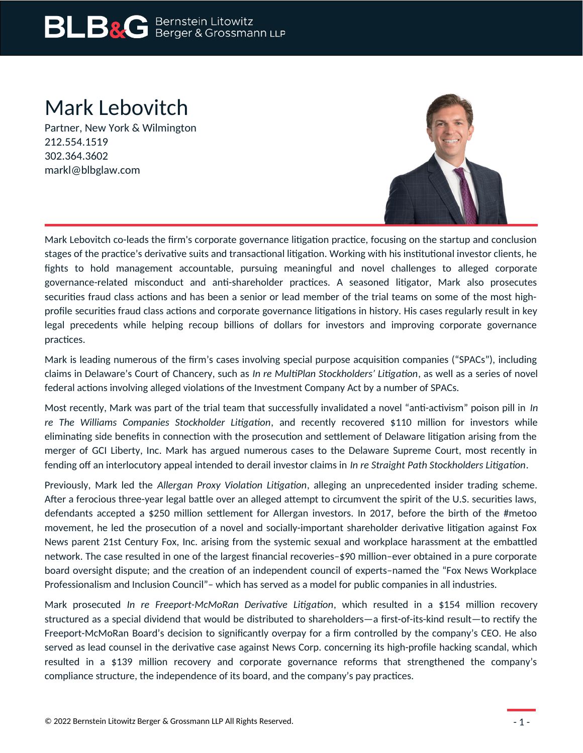# Mark Lebovitch

Partner, New York & Wilmington 212.554.1519 302.364.3602 markl@blbglaw.com



Mark Lebovitch co-leads the firm's corporate governance litigation practice, focusing on the startup and conclusion stages of the practice's derivative suits and transactional litigation. Working with his institutional investor clients, he fights to hold management accountable, pursuing meaningful and novel challenges to alleged corporate governance-related misconduct and anti-shareholder practices. A seasoned litigator, Mark also prosecutes securities fraud class actions and has been a senior or lead member of the trial teams on some of the most highprofile securities fraud class actions and corporate governance litigations in history. His cases regularly result in key legal precedents while helping recoup billions of dollars for investors and improving corporate governance practices.

Mark is leading numerous of the firm's cases involving special purpose acquisition companies ("SPACs"), including claims in Delaware's Court of Chancery, such as *In re MultiPlan Stockholders' Litigation*, as well as a series of novel federal actions involving alleged violations of the Investment Company Act by a number of SPACs.

Most recently, Mark was part of the trial team that successfully invalidated a novel "anti-activism" poison pill in *In re The Williams Companies Stockholder Litigation*, and recently recovered \$110 million for investors while eliminating side benefits in connection with the prosecution and settlement of Delaware litigation arising from the merger of GCI Liberty, Inc. Mark has argued numerous cases to the Delaware Supreme Court, most recently in fending off an interlocutory appeal intended to derail investor claims in *In re Straight Path Stockholders Litigation*.

Previously, Mark led the *Allergan Proxy Violation Litigation*, alleging an unprecedented insider trading scheme. After a ferocious three-year legal battle over an alleged attempt to circumvent the spirit of the U.S. securities laws, defendants accepted a \$250 million settlement for Allergan investors. In 2017, before the birth of the #metoo movement, he led the prosecution of a novel and socially-important shareholder derivative litigation against Fox News parent 21st Century Fox, Inc. arising from the systemic sexual and workplace harassment at the embattled network. The case resulted in one of the largest financial recoveries–\$90 million–ever obtained in a pure corporate board oversight dispute; and the creation of an independent council of experts–named the "Fox News Workplace Professionalism and Inclusion Council"– which has served as a model for public companies in all industries.

Mark prosecuted *In re Freeport-McMoRan Derivative Litigation*, which resulted in a \$154 million recovery structured as a special dividend that would be distributed to shareholders—a first-of-its-kind result—to rectify the Freeport-McMoRan Board's decision to significantly overpay for a firm controlled by the company's CEO. He also served as lead counsel in the derivative case against News Corp. concerning its high-profile hacking scandal, which resulted in a \$139 million recovery and corporate governance reforms that strengthened the company's compliance structure, the independence of its board, and the company's pay practices.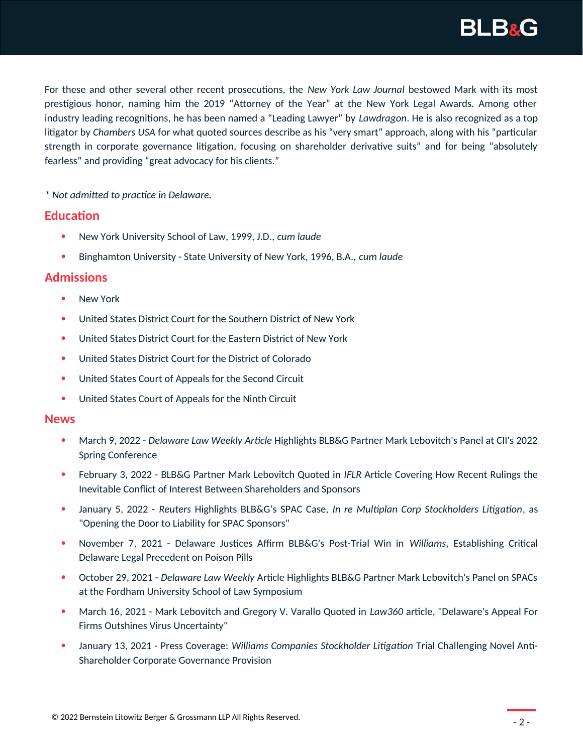

For these and other several other recent prosecutions, the *New York Law Journal* bestowed Mark with its most prestigious honor, naming him the 2019 "Attorney of the Year" at the New York Legal Awards. Among other industry leading recognitions, he has been named a "Leading Lawyer" by *Lawdragon*. He is also recognized as a top litigator by *Chambers USA* for what quoted sources describe as his "very smart" approach, along with his "particular strength in corporate governance litigation, focusing on shareholder derivative suits" and for being "absolutely fearless" and providing "great advocacy for his clients."

*\* Not admitted to practice in Delaware.*

### **Education**

- New York University School of Law, 1999, J.D., *cum laude*
- Binghamton University State University of New York, 1996, B.A., *cum laude*

## **Admissions**

- New York
- United States District Court for the Southern District of New York
- United States District Court for the Eastern District of New York
- United States District Court for the District of Colorado
- United States Court of Appeals for the Second Circuit
- United States Court of Appeals for the Ninth Circuit

### **News**

- March 9, 2022 *Delaware Law Weekly Article* Highlights BLB&G Partner Mark Lebovitch's Panel at CII's 2022 Spring Conference
- February 3, 2022 BLB&G Partner Mark Lebovitch Quoted in *IFLR* Article Covering How Recent Rulings the Inevitable Conflict of Interest Between Shareholders and Sponsors
- January 5, 2022 *Reuters* Highlights BLB&G's SPAC Case, *In re Multiplan Corp Stockholders Litigation*, as "Opening the Door to Liability for SPAC Sponsors"
- November 7, 2021 Delaware Justices Affirm BLB&G's Post-Trial Win in *Williams*, Establishing Critical Delaware Legal Precedent on Poison Pills
- October 29, 2021 *Delaware Law Weekly* Article Highlights BLB&G Partner Mark Lebovitch's Panel on SPACs at the Fordham University School of Law Symposium
- March 16, 2021 Mark Lebovitch and Gregory V. Varallo Quoted in *Law360* article, "Delaware's Appeal For Firms Outshines Virus Uncertainty"
- January 13, 2021 Press Coverage: *Williams Companies Stockholder Litigation* Trial Challenging Novel Anti-Shareholder Corporate Governance Provision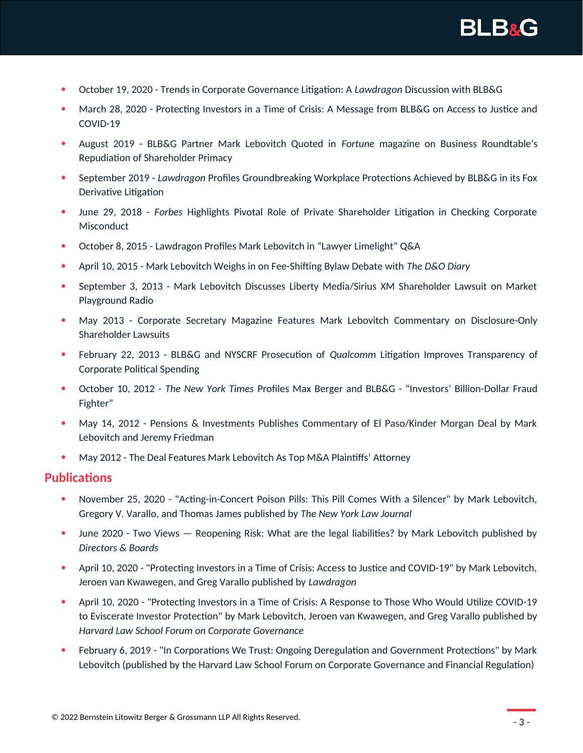

- October 19, 2020 Trends in Corporate Governance Litigation: A *Lawdragon* Discussion with BLB&G
- March 28, 2020 Protecting Investors in a Time of Crisis: A Message from BLB&G on Access to Justice and COVID-19
- August 2019 BLB&G Partner Mark Lebovitch Quoted in *Fortune* magazine on Business Roundtable's Repudiation of Shareholder Primacy
- September 2019 *Lawdragon* Profiles Groundbreaking Workplace Protections Achieved by BLB&G in its Fox Derivative Litigation
- June 29, 2018 *Forbes* Highlights Pivotal Role of Private Shareholder Litigation in Checking Corporate Misconduct
- October 8, 2015 Lawdragon Profiles Mark Lebovitch in "Lawyer Limelight" Q&A
- April 10, 2015 Mark Lebovitch Weighs in on Fee-Shifting Bylaw Debate with *The D&O Diary*
- September 3, 2013 Mark Lebovitch Discusses Liberty Media/Sirius XM Shareholder Lawsuit on Market Playground Radio
- May 2013 Corporate Secretary Magazine Features Mark Lebovitch Commentary on Disclosure-Only Shareholder Lawsuits
- February 22, 2013 BLB&G and NYSCRF Prosecution of *Qualcomm* Litigation Improves Transparency of Corporate Political Spending
- October 10, 2012 *The New York Times* Profiles Max Berger and BLB&G "Investors' Billion-Dollar Fraud Fighter"
- May 14, 2012 Pensions & Investments Publishes Commentary of El Paso/Kinder Morgan Deal by Mark Lebovitch and Jeremy Friedman
- May 2012 The Deal Features Mark Lebovitch As Top M&A Plaintiffs' Attorney

#### **Publications**

- November 25, 2020 "Acting-in-Concert Poison Pills: This Pill Comes With a Silencer" by Mark Lebovitch, Gregory V. Varallo, and Thomas James published by *The New York Law Journal*
- June 2020 Two Views Reopening Risk: What are the legal liabilities? by Mark Lebovitch published by *Directors & Boards*
- April 10, 2020 "Protecting Investors in a Time of Crisis: Access to Justice and COVID-19" by Mark Lebovitch, Jeroen van Kwawegen, and Greg Varallo published by *Lawdragon*
- April 10, 2020 "Protecting Investors in a Time of Crisis: A Response to Those Who Would Utilize COVID-19 to Eviscerate Investor Protection" by Mark Lebovitch, Jeroen van Kwawegen, and Greg Varallo published by *Harvard Law School Forum on Corporate Governance*
- February 6, 2019 "In Corporations We Trust: Ongoing Deregulation and Government Protections" by Mark Lebovitch (published by the Harvard Law School Forum on Corporate Governance and Financial Regulation)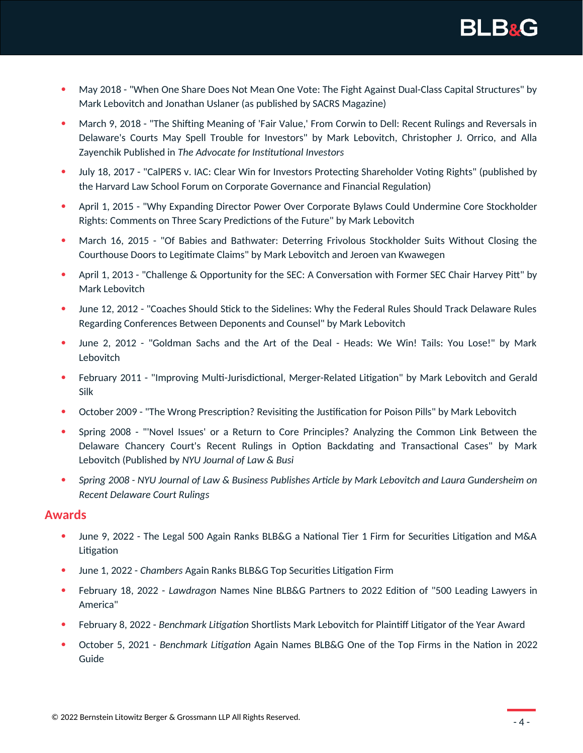

- May 2018 "When One Share Does Not Mean One Vote: The Fight Against Dual-Class Capital Structures" by Mark Lebovitch and Jonathan Uslaner (as published by SACRS Magazine)
- March 9, 2018 "The Shifting Meaning of 'Fair Value,' From Corwin to Dell: Recent Rulings and Reversals in Delaware's Courts May Spell Trouble for Investors" by Mark Lebovitch, Christopher J. Orrico, and Alla Zayenchik Published in *The Advocate for Institutional Investors*
- July 18, 2017 "CalPERS v. IAC: Clear Win for Investors Protecting Shareholder Voting Rights" (published by the Harvard Law School Forum on Corporate Governance and Financial Regulation)
- April 1, 2015 "Why Expanding Director Power Over Corporate Bylaws Could Undermine Core Stockholder Rights: Comments on Three Scary Predictions of the Future" by Mark Lebovitch
- March 16, 2015 "Of Babies and Bathwater: Deterring Frivolous Stockholder Suits Without Closing the Courthouse Doors to Legitimate Claims" by Mark Lebovitch and Jeroen van Kwawegen
- April 1, 2013 "Challenge & Opportunity for the SEC: A Conversation with Former SEC Chair Harvey Pitt" by Mark Lebovitch
- June 12, 2012 "Coaches Should Stick to the Sidelines: Why the Federal Rules Should Track Delaware Rules Regarding Conferences Between Deponents and Counsel" by Mark Lebovitch
- June 2, 2012 "Goldman Sachs and the Art of the Deal Heads: We Win! Tails: You Lose!" by Mark Lebovitch
- February 2011 "Improving Multi-Jurisdictional, Merger-Related Litigation" by Mark Lebovitch and Gerald Silk
- October 2009 "The Wrong Prescription? Revisiting the Justification for Poison Pills" by Mark Lebovitch
- Spring 2008 "'Novel Issues' or a Return to Core Principles? Analyzing the Common Link Between the Delaware Chancery Court's Recent Rulings in Option Backdating and Transactional Cases" by Mark Lebovitch (Published by *NYU Journal of Law & Busi*
- *Spring 2008 NYU Journal of Law & Business Publishes Article by Mark Lebovitch and Laura Gundersheim on Recent Delaware Court Rulings*

### **Awards**

- June 9, 2022 The Legal 500 Again Ranks BLB&G a National Tier 1 Firm for Securities Litigation and M&A Litigation
- June 1, 2022 *Chambers* Again Ranks BLB&G Top Securities Litigation Firm
- February 18, 2022 *Lawdragon* Names Nine BLB&G Partners to 2022 Edition of "500 Leading Lawyers in America"
- February 8, 2022 *Benchmark Litigation* Shortlists Mark Lebovitch for Plaintiff Litigator of the Year Award
- October 5, 2021 *Benchmark Litigation* Again Names BLB&G One of the Top Firms in the Nation in 2022 Guide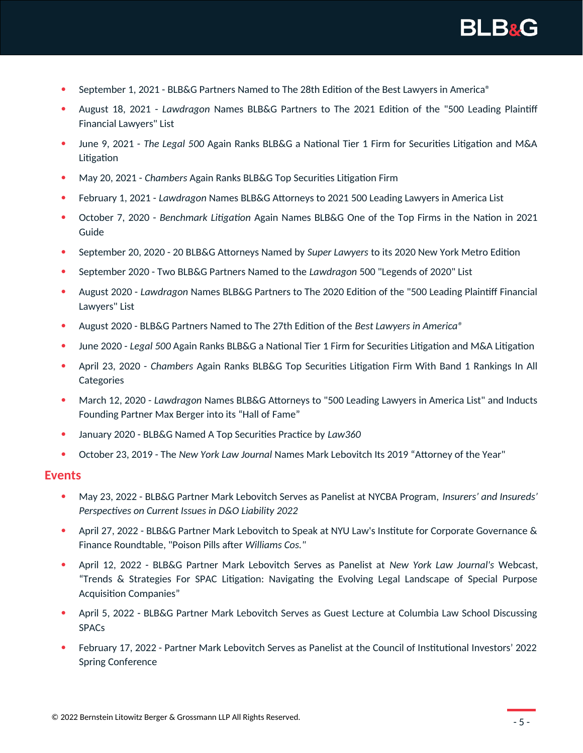

- September 1, 2021 BLB&G Partners Named to The 28th Edition of the Best Lawyers in America®
- August 18, 2021 *Lawdragon* Names BLB&G Partners to The 2021 Edition of the "500 Leading Plaintiff Financial Lawyers" List
- June 9, 2021 *The Legal 500* Again Ranks BLB&G a National Tier 1 Firm for Securities Litigation and M&A Litigation
- May 20, 2021 *Chambers* Again Ranks BLB&G Top Securities Litigation Firm
- February 1, 2021 *Lawdragon* Names BLB&G Attorneys to 2021 500 Leading Lawyers in America List
- October 7, 2020 *Benchmark Litigation* Again Names BLB&G One of the Top Firms in the Nation in 2021 Guide
- September 20, 2020 20 BLB&G Attorneys Named by *Super Lawyers* to its 2020 New York Metro Edition
- September 2020 Two BLB&G Partners Named to the *Lawdragon* 500 "Legends of 2020" List
- August 2020 *Lawdragon* Names BLB&G Partners to The 2020 Edition of the "500 Leading Plaintiff Financial Lawyers" List
- August 2020 BLB&G Partners Named to The 27th Edition of the *Best Lawyers in America®*
- June 2020 *Legal 500* Again Ranks BLB&G a National Tier 1 Firm for Securities Litigation and M&A Litigation
- April 23, 2020 *Chambers* Again Ranks BLB&G Top Securities Litigation Firm With Band 1 Rankings In All **Categories**
- March 12, 2020 *Lawdragon* Names BLB&G Attorneys to "500 Leading Lawyers in America List" and Inducts Founding Partner Max Berger into its "Hall of Fame"
- January 2020 BLB&G Named A Top Securities Practice by *Law360*
- October 23, 2019 The *New York Law Journal* Names Mark Lebovitch Its 2019 "Attorney of the Year"

#### **Events**

- May 23, 2022 BLB&G Partner Mark Lebovitch Serves as Panelist at NYCBA Program, *Insurers' and Insureds' Perspectives on Current Issues in D&O Liability 2022*
- April 27, 2022 BLB&G Partner Mark Lebovitch to Speak at NYU Law's Institute for Corporate Governance & Finance Roundtable, "Poison Pills after *Williams Cos."*
- April 12, 2022 BLB&G Partner Mark Lebovitch Serves as Panelist at *New York Law Journal's* Webcast, "Trends & Strategies For SPAC Litigation: Navigating the Evolving Legal Landscape of Special Purpose Acquisition Companies"
- April 5, 2022 BLB&G Partner Mark Lebovitch Serves as Guest Lecture at Columbia Law School Discussing SPACs
- February 17, 2022 Partner Mark Lebovitch Serves as Panelist at the Council of Institutional Investors' 2022 Spring Conference